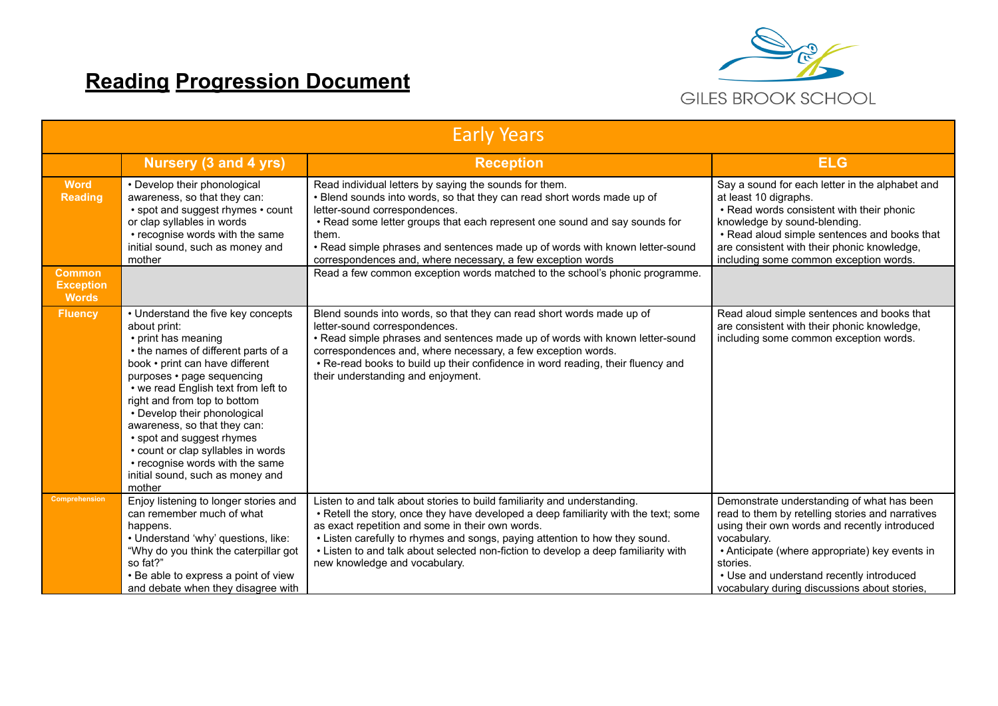## **Reading Progression Document**



| <b>Early Years</b>                                |                                                                                                                                                                                                                                                                                                                                                                                                                                                                              |                                                                                                                                                                                                                                                                                                                                                                                                                           |                                                                                                                                                                                                                                                                                                                          |  |
|---------------------------------------------------|------------------------------------------------------------------------------------------------------------------------------------------------------------------------------------------------------------------------------------------------------------------------------------------------------------------------------------------------------------------------------------------------------------------------------------------------------------------------------|---------------------------------------------------------------------------------------------------------------------------------------------------------------------------------------------------------------------------------------------------------------------------------------------------------------------------------------------------------------------------------------------------------------------------|--------------------------------------------------------------------------------------------------------------------------------------------------------------------------------------------------------------------------------------------------------------------------------------------------------------------------|--|
|                                                   | Nursery (3 and 4 yrs)                                                                                                                                                                                                                                                                                                                                                                                                                                                        | <b>Reception</b>                                                                                                                                                                                                                                                                                                                                                                                                          | <b>ELG</b>                                                                                                                                                                                                                                                                                                               |  |
| <b>Word</b><br><b>Reading</b>                     | • Develop their phonological<br>awareness, so that they can:<br>• spot and suggest rhymes • count<br>or clap syllables in words<br>• recognise words with the same<br>initial sound, such as money and<br>mother                                                                                                                                                                                                                                                             | Read individual letters by saying the sounds for them.<br>• Blend sounds into words, so that they can read short words made up of<br>letter-sound correspondences.<br>. Read some letter groups that each represent one sound and say sounds for<br>them.<br>. Read simple phrases and sentences made up of words with known letter-sound<br>correspondences and, where necessary, a few exception words                  | Say a sound for each letter in the alphabet and<br>at least 10 digraphs.<br>• Read words consistent with their phonic<br>knowledge by sound-blending.<br>• Read aloud simple sentences and books that<br>are consistent with their phonic knowledge,<br>including some common exception words.                           |  |
| <b>Common</b><br><b>Exception</b><br><b>Words</b> |                                                                                                                                                                                                                                                                                                                                                                                                                                                                              | Read a few common exception words matched to the school's phonic programme.                                                                                                                                                                                                                                                                                                                                               |                                                                                                                                                                                                                                                                                                                          |  |
| <b>Fluency</b>                                    | • Understand the five key concepts<br>about print:<br>• print has meaning<br>• the names of different parts of a<br>book • print can have different<br>purposes • page sequencing<br>• we read English text from left to<br>right and from top to bottom<br>• Develop their phonological<br>awareness, so that they can:<br>• spot and suggest rhymes<br>• count or clap syllables in words<br>• recognise words with the same<br>initial sound, such as money and<br>mother | Blend sounds into words, so that they can read short words made up of<br>letter-sound correspondences.<br>. Read simple phrases and sentences made up of words with known letter-sound<br>correspondences and, where necessary, a few exception words.<br>• Re-read books to build up their confidence in word reading, their fluency and<br>their understanding and enjoyment.                                           | Read aloud simple sentences and books that<br>are consistent with their phonic knowledge,<br>including some common exception words.                                                                                                                                                                                      |  |
| <b>Comprehension</b>                              | Enjoy listening to longer stories and<br>can remember much of what<br>happens.<br>• Understand 'why' questions, like:<br>"Why do you think the caterpillar got<br>so fat?"<br>• Be able to express a point of view<br>and debate when they disagree with                                                                                                                                                                                                                     | Listen to and talk about stories to build familiarity and understanding.<br>• Retell the story, once they have developed a deep familiarity with the text; some<br>as exact repetition and some in their own words.<br>. Listen carefully to rhymes and songs, paying attention to how they sound.<br>• Listen to and talk about selected non-fiction to develop a deep familiarity with<br>new knowledge and vocabulary. | Demonstrate understanding of what has been<br>read to them by retelling stories and narratives<br>using their own words and recently introduced<br>vocabulary.<br>• Anticipate (where appropriate) key events in<br>stories.<br>• Use and understand recently introduced<br>vocabulary during discussions about stories, |  |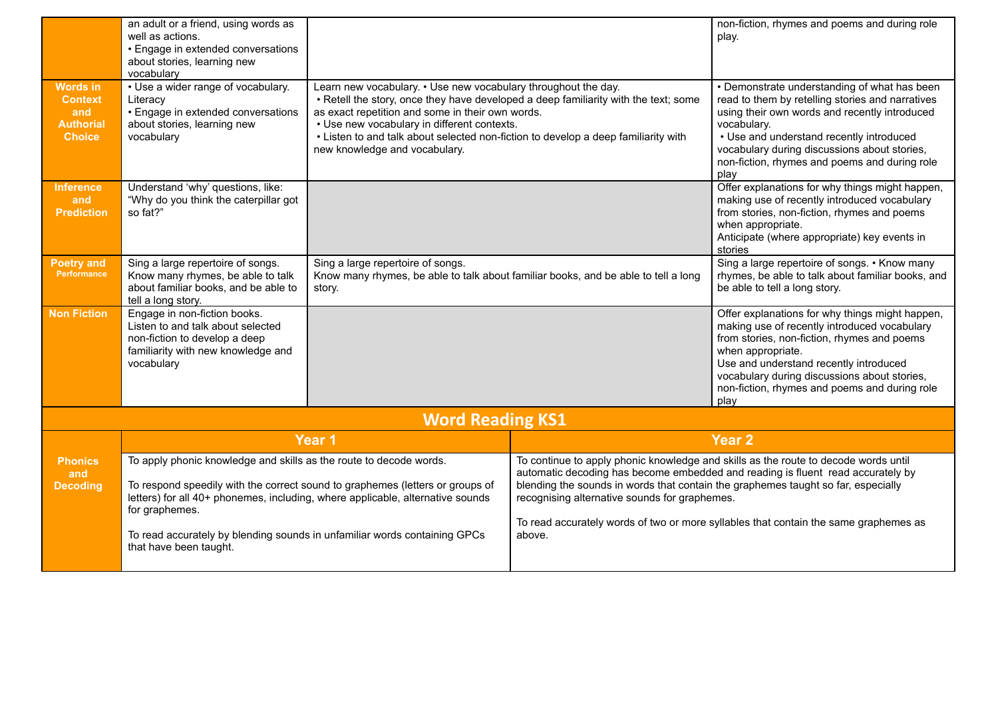|                                                                               | an adult or a friend, using words as<br>well as actions.<br>• Engage in extended conversations<br>about stories, learning new                          |                                                                                                                                                                                                                                                                                                                                                                                 |                                                                                                                                              | non-fiction, rhymes and poems and during role<br>play.                                                                                                                                                                                                                                                                 |
|-------------------------------------------------------------------------------|--------------------------------------------------------------------------------------------------------------------------------------------------------|---------------------------------------------------------------------------------------------------------------------------------------------------------------------------------------------------------------------------------------------------------------------------------------------------------------------------------------------------------------------------------|----------------------------------------------------------------------------------------------------------------------------------------------|------------------------------------------------------------------------------------------------------------------------------------------------------------------------------------------------------------------------------------------------------------------------------------------------------------------------|
| <b>Words in</b><br><b>Context</b><br>and<br><b>Authorial</b><br><b>Choice</b> | vocabulary<br>• Use a wider range of vocabulary.<br>Literacy<br>• Engage in extended conversations<br>about stories, learning new<br>vocabulary        | Learn new vocabulary. • Use new vocabulary throughout the day.<br>. Retell the story, once they have developed a deep familiarity with the text; some<br>as exact repetition and some in their own words.<br>• Use new vocabulary in different contexts.<br>• Listen to and talk about selected non-fiction to develop a deep familiarity with<br>new knowledge and vocabulary. |                                                                                                                                              | • Demonstrate understanding of what has been<br>read to them by retelling stories and narratives<br>using their own words and recently introduced<br>vocabulary.<br>• Use and understand recently introduced<br>vocabulary during discussions about stories,<br>non-fiction, rhymes and poems and during role<br>play  |
| <b>Inference</b><br>and<br><b>Prediction</b>                                  | Understand 'why' questions, like:<br>"Why do you think the caterpillar got<br>so fat?"                                                                 |                                                                                                                                                                                                                                                                                                                                                                                 |                                                                                                                                              | Offer explanations for why things might happen,<br>making use of recently introduced vocabulary<br>from stories, non-fiction, rhymes and poems<br>when appropriate.<br>Anticipate (where appropriate) key events in<br>stories                                                                                         |
| <b>Poetry and</b><br>Performance                                              | Sing a large repertoire of songs.<br>Know many rhymes, be able to talk<br>about familiar books, and be able to<br>tell a long story.                   | Sing a large repertoire of songs.<br>Know many rhymes, be able to talk about familiar books, and be able to tell a long<br>story.                                                                                                                                                                                                                                               |                                                                                                                                              | Sing a large repertoire of songs. • Know many<br>rhymes, be able to talk about familiar books, and<br>be able to tell a long story.                                                                                                                                                                                    |
| <b>Non Fiction</b>                                                            | Engage in non-fiction books.<br>Listen to and talk about selected<br>non-fiction to develop a deep<br>familiarity with new knowledge and<br>vocabulary |                                                                                                                                                                                                                                                                                                                                                                                 |                                                                                                                                              | Offer explanations for why things might happen,<br>making use of recently introduced vocabulary<br>from stories, non-fiction, rhymes and poems<br>when appropriate.<br>Use and understand recently introduced<br>vocabulary during discussions about stories,<br>non-fiction, rhymes and poems and during role<br>play |
|                                                                               |                                                                                                                                                        | <b>Word Reading KS1</b>                                                                                                                                                                                                                                                                                                                                                         |                                                                                                                                              |                                                                                                                                                                                                                                                                                                                        |
|                                                                               |                                                                                                                                                        | Year 1                                                                                                                                                                                                                                                                                                                                                                          |                                                                                                                                              | <b>Year 2</b>                                                                                                                                                                                                                                                                                                          |
| <b>Phonics</b><br>and<br><b>Decoding</b>                                      | To apply phonic knowledge and skills as the route to decode words.<br>for graphemes.                                                                   | To respond speedily with the correct sound to graphemes (letters or groups of<br>letters) for all 40+ phonemes, including, where applicable, alternative sounds<br>To read accurately by blending sounds in unfamiliar words containing GPCs                                                                                                                                    | blending the sounds in words that contain the graphemes taught so far, especially<br>recognising alternative sounds for graphemes.<br>above. | To continue to apply phonic knowledge and skills as the route to decode words until<br>automatic decoding has become embedded and reading is fluent read accurately by<br>To read accurately words of two or more syllables that contain the same graphemes as                                                         |
|                                                                               | that have been taught.                                                                                                                                 |                                                                                                                                                                                                                                                                                                                                                                                 |                                                                                                                                              |                                                                                                                                                                                                                                                                                                                        |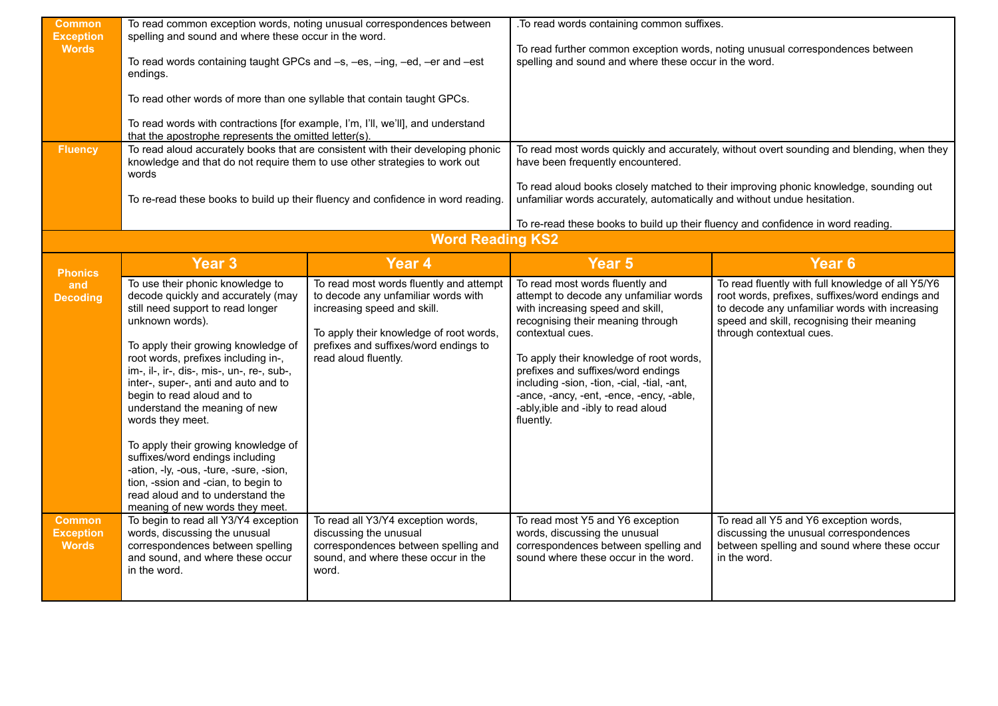| <b>Common</b><br><b>Exception</b><br><b>Words</b><br><b>Fluency</b> | To read common exception words, noting unusual correspondences between<br>spelling and sound and where these occur in the word.<br>To read words containing taught GPCs and -s, -es, -ing, -ed, -er and -est<br>endings.<br>To read other words of more than one syllable that contain taught GPCs.<br>To read words with contractions [for example, I'm, I'll, we'll], and understand<br>that the apostrophe represents the omitted letter(s).<br>To read aloud accurately books that are consistent with their developing phonic<br>knowledge and that do not require them to use other strategies to work out<br>words<br>To re-read these books to build up their fluency and confidence in word reading. |                                                                                                                                                                                                                           | . To read words containing common suffixes.<br>To read further common exception words, noting unusual correspondences between<br>spelling and sound and where these occur in the word.<br>To read most words quickly and accurately, without overt sounding and blending, when they<br>have been frequently encountered.<br>To read aloud books closely matched to their improving phonic knowledge, sounding out<br>unfamiliar words accurately, automatically and without undue hesitation. |                                                                                                                                                                                                                                  |
|---------------------------------------------------------------------|---------------------------------------------------------------------------------------------------------------------------------------------------------------------------------------------------------------------------------------------------------------------------------------------------------------------------------------------------------------------------------------------------------------------------------------------------------------------------------------------------------------------------------------------------------------------------------------------------------------------------------------------------------------------------------------------------------------|---------------------------------------------------------------------------------------------------------------------------------------------------------------------------------------------------------------------------|-----------------------------------------------------------------------------------------------------------------------------------------------------------------------------------------------------------------------------------------------------------------------------------------------------------------------------------------------------------------------------------------------------------------------------------------------------------------------------------------------|----------------------------------------------------------------------------------------------------------------------------------------------------------------------------------------------------------------------------------|
|                                                                     |                                                                                                                                                                                                                                                                                                                                                                                                                                                                                                                                                                                                                                                                                                               | <b>Word Reading KS2</b>                                                                                                                                                                                                   | To re-read these books to build up their fluency and confidence in word reading.                                                                                                                                                                                                                                                                                                                                                                                                              |                                                                                                                                                                                                                                  |
|                                                                     | <b>Year 3</b>                                                                                                                                                                                                                                                                                                                                                                                                                                                                                                                                                                                                                                                                                                 | <b>Year 4</b>                                                                                                                                                                                                             | Year <sub>5</sub>                                                                                                                                                                                                                                                                                                                                                                                                                                                                             | Year <sub>6</sub>                                                                                                                                                                                                                |
| <b>Phonics</b><br>and<br><b>Decoding</b>                            | To use their phonic knowledge to<br>decode quickly and accurately (may<br>still need support to read longer<br>unknown words).<br>To apply their growing knowledge of<br>root words, prefixes including in-,<br>im-, il-, ir-, dis-, mis-, un-, re-, sub-,<br>inter-, super-, anti and auto and to<br>begin to read aloud and to<br>understand the meaning of new<br>words they meet.<br>To apply their growing knowledge of<br>suffixes/word endings including<br>-ation, -ly, -ous, -ture, -sure, -sion,<br>tion, -ssion and -cian, to begin to<br>read aloud and to understand the<br>meaning of new words they meet.                                                                                      | To read most words fluently and attempt<br>to decode any unfamiliar words with<br>increasing speed and skill.<br>To apply their knowledge of root words,<br>prefixes and suffixes/word endings to<br>read aloud fluently. | To read most words fluently and<br>attempt to decode any unfamiliar words<br>with increasing speed and skill,<br>recognising their meaning through<br>contextual cues.<br>To apply their knowledge of root words,<br>prefixes and suffixes/word endings<br>including -sion, -tion, -cial, -tial, -ant,<br>-ance, -ancy, -ent, -ence, -ency, -able,<br>-ably, ible and -ibly to read aloud<br>fluently.                                                                                        | To read fluently with full knowledge of all Y5/Y6<br>root words, prefixes, suffixes/word endings and<br>to decode any unfamiliar words with increasing<br>speed and skill, recognising their meaning<br>through contextual cues. |
| <b>Common</b><br><b>Exception</b><br><b>Words</b>                   | To begin to read all Y3/Y4 exception<br>words, discussing the unusual<br>correspondences between spelling<br>and sound, and where these occur<br>in the word.                                                                                                                                                                                                                                                                                                                                                                                                                                                                                                                                                 | To read all Y3/Y4 exception words,<br>discussing the unusual<br>correspondences between spelling and<br>sound, and where these occur in the<br>word.                                                                      | To read most Y5 and Y6 exception<br>words, discussing the unusual<br>correspondences between spelling and<br>sound where these occur in the word.                                                                                                                                                                                                                                                                                                                                             | To read all Y5 and Y6 exception words,<br>discussing the unusual correspondences<br>between spelling and sound where these occur<br>in the word.                                                                                 |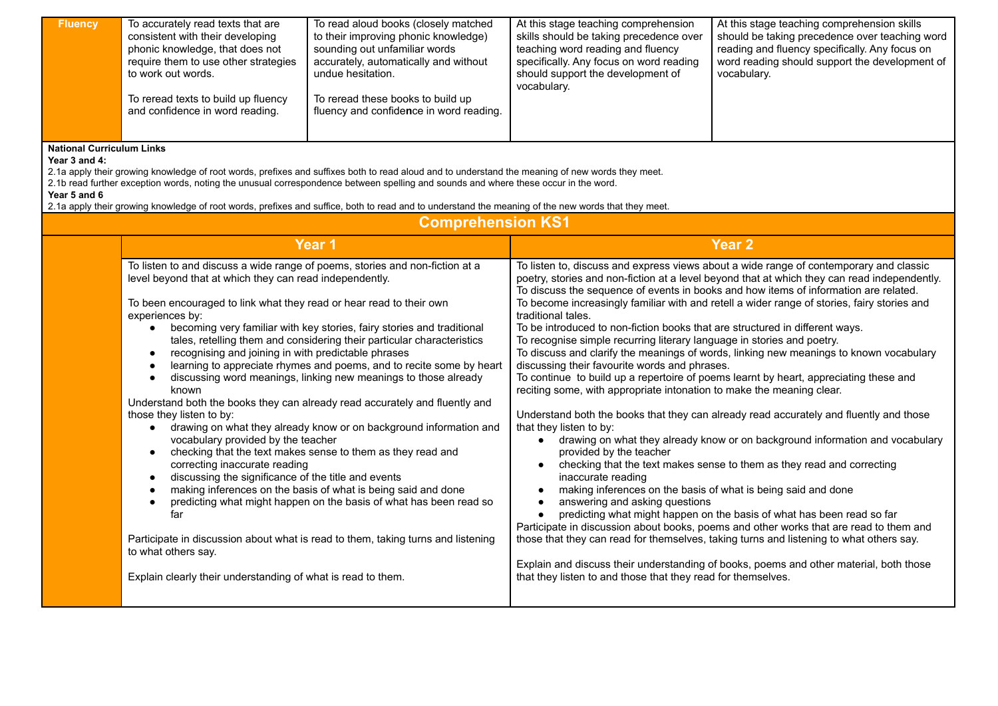| <b>Fluency</b><br><b>National Curriculum Links</b> | To accurately read texts that are<br>consistent with their developing<br>phonic knowledge, that does not<br>require them to use other strategies<br>to work out words.<br>To reread texts to build up fluency<br>and confidence in word reading.                                                                                                                                                                                                                                                                                                                                                                                                                                                                                                                                                                                                                                                                                                                                                                                                                                                                                                                                                                                                                                                                                                                                                             | To read aloud books (closely matched<br>to their improving phonic knowledge)<br>sounding out unfamiliar words<br>accurately, automatically and without<br>undue hesitation.<br>To reread these books to build up<br>fluency and confidence in word reading.                                                                                                                                                                                                                | At this stage teaching comprehension<br>skills should be taking precedence over<br>teaching word reading and fluency<br>specifically. Any focus on word reading<br>should support the development of<br>vocabulary.                                                                                                                                                                                                                                                                                                                                                                                                                                                                                                                                                                                                                                                                                                                                                                                                                                                                                                                                                                                                                                                                                                                                                                                                                                                                                                                                                                                                                                                                                                                                                                         | At this stage teaching comprehension skills<br>should be taking precedence over teaching word<br>reading and fluency specifically. Any focus on<br>word reading should support the development of<br>vocabulary. |
|----------------------------------------------------|--------------------------------------------------------------------------------------------------------------------------------------------------------------------------------------------------------------------------------------------------------------------------------------------------------------------------------------------------------------------------------------------------------------------------------------------------------------------------------------------------------------------------------------------------------------------------------------------------------------------------------------------------------------------------------------------------------------------------------------------------------------------------------------------------------------------------------------------------------------------------------------------------------------------------------------------------------------------------------------------------------------------------------------------------------------------------------------------------------------------------------------------------------------------------------------------------------------------------------------------------------------------------------------------------------------------------------------------------------------------------------------------------------------|----------------------------------------------------------------------------------------------------------------------------------------------------------------------------------------------------------------------------------------------------------------------------------------------------------------------------------------------------------------------------------------------------------------------------------------------------------------------------|---------------------------------------------------------------------------------------------------------------------------------------------------------------------------------------------------------------------------------------------------------------------------------------------------------------------------------------------------------------------------------------------------------------------------------------------------------------------------------------------------------------------------------------------------------------------------------------------------------------------------------------------------------------------------------------------------------------------------------------------------------------------------------------------------------------------------------------------------------------------------------------------------------------------------------------------------------------------------------------------------------------------------------------------------------------------------------------------------------------------------------------------------------------------------------------------------------------------------------------------------------------------------------------------------------------------------------------------------------------------------------------------------------------------------------------------------------------------------------------------------------------------------------------------------------------------------------------------------------------------------------------------------------------------------------------------------------------------------------------------------------------------------------------------|------------------------------------------------------------------------------------------------------------------------------------------------------------------------------------------------------------------|
| Year 3 and 4:<br>Year 5 and 6                      |                                                                                                                                                                                                                                                                                                                                                                                                                                                                                                                                                                                                                                                                                                                                                                                                                                                                                                                                                                                                                                                                                                                                                                                                                                                                                                                                                                                                              | 2.1a apply their growing knowledge of root words, prefixes and suffixes both to read aloud and to understand the meaning of new words they meet.<br>2.1b read further exception words, noting the unusual correspondence between spelling and sounds and where these occur in the word.<br>2.1a apply their growing knowledge of root words, prefixes and suffice, both to read and to understand the meaning of the new words that they meet.<br><b>Comprehension KS1</b> |                                                                                                                                                                                                                                                                                                                                                                                                                                                                                                                                                                                                                                                                                                                                                                                                                                                                                                                                                                                                                                                                                                                                                                                                                                                                                                                                                                                                                                                                                                                                                                                                                                                                                                                                                                                             |                                                                                                                                                                                                                  |
|                                                    |                                                                                                                                                                                                                                                                                                                                                                                                                                                                                                                                                                                                                                                                                                                                                                                                                                                                                                                                                                                                                                                                                                                                                                                                                                                                                                                                                                                                              |                                                                                                                                                                                                                                                                                                                                                                                                                                                                            |                                                                                                                                                                                                                                                                                                                                                                                                                                                                                                                                                                                                                                                                                                                                                                                                                                                                                                                                                                                                                                                                                                                                                                                                                                                                                                                                                                                                                                                                                                                                                                                                                                                                                                                                                                                             | Year <sub>2</sub>                                                                                                                                                                                                |
|                                                    | Year 1<br>To listen to and discuss a wide range of poems, stories and non-fiction at a<br>level beyond that at which they can read independently.<br>To been encouraged to link what they read or hear read to their own<br>experiences by:<br>becoming very familiar with key stories, fairy stories and traditional<br>$\bullet$<br>tales, retelling them and considering their particular characteristics<br>recognising and joining in with predictable phrases<br>$\bullet$<br>learning to appreciate rhymes and poems, and to recite some by heart<br>discussing word meanings, linking new meanings to those already<br>$\bullet$<br>known<br>Understand both the books they can already read accurately and fluently and<br>those they listen to by:<br>drawing on what they already know or on background information and<br>$\bullet$<br>vocabulary provided by the teacher<br>checking that the text makes sense to them as they read and<br>$\bullet$<br>correcting inaccurate reading<br>discussing the significance of the title and events<br>making inferences on the basis of what is being said and done<br>$\bullet$<br>predicting what might happen on the basis of what has been read so<br>$\bullet$<br>far<br>Participate in discussion about what is read to them, taking turns and listening<br>to what others say.<br>Explain clearly their understanding of what is read to them. |                                                                                                                                                                                                                                                                                                                                                                                                                                                                            | To listen to, discuss and express views about a wide range of contemporary and classic<br>poetry, stories and non-fiction at a level beyond that at which they can read independently.<br>To discuss the sequence of events in books and how items of information are related.<br>To become increasingly familiar with and retell a wider range of stories, fairy stories and<br>traditional tales.<br>To be introduced to non-fiction books that are structured in different ways.<br>To recognise simple recurring literary language in stories and poetry.<br>To discuss and clarify the meanings of words, linking new meanings to known vocabulary<br>discussing their favourite words and phrases.<br>To continue to build up a repertoire of poems learnt by heart, appreciating these and<br>reciting some, with appropriate intonation to make the meaning clear.<br>Understand both the books that they can already read accurately and fluently and those<br>that they listen to by:<br>drawing on what they already know or on background information and vocabulary<br>$\bullet$<br>provided by the teacher<br>checking that the text makes sense to them as they read and correcting<br>$\bullet$<br>inaccurate reading<br>making inferences on the basis of what is being said and done<br>$\bullet$<br>answering and asking questions<br>predicting what might happen on the basis of what has been read so far<br>$\bullet$<br>Participate in discussion about books, poems and other works that are read to them and<br>those that they can read for themselves, taking turns and listening to what others say.<br>Explain and discuss their understanding of books, poems and other material, both those<br>that they listen to and those that they read for themselves. |                                                                                                                                                                                                                  |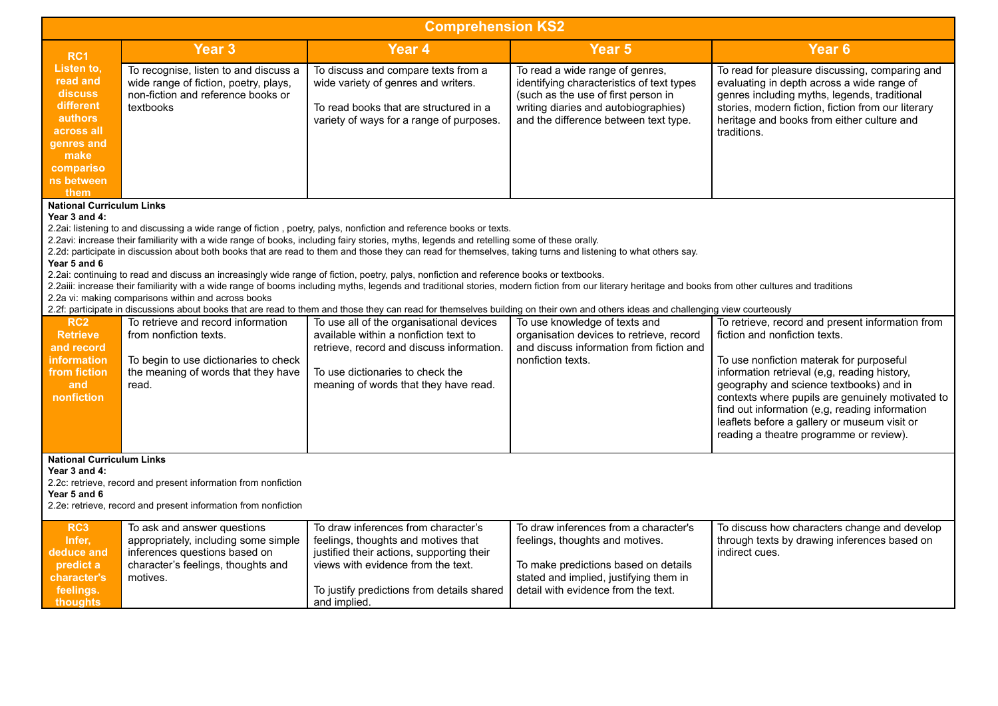| <b>Comprehension KS2</b>                                                                                                                                                                                                                                                                                                                                                                                                                                                                                                                                                                                                                                                                                                                                                                                                                                                                                                                                                                                                                                                                                   |                                                                                                                                                        |                                                                                                                                                                                                                             |                                                                                                                                                                                                      |                                                                                                                                                                                                                                                                                                                                                                                                                           |  |
|------------------------------------------------------------------------------------------------------------------------------------------------------------------------------------------------------------------------------------------------------------------------------------------------------------------------------------------------------------------------------------------------------------------------------------------------------------------------------------------------------------------------------------------------------------------------------------------------------------------------------------------------------------------------------------------------------------------------------------------------------------------------------------------------------------------------------------------------------------------------------------------------------------------------------------------------------------------------------------------------------------------------------------------------------------------------------------------------------------|--------------------------------------------------------------------------------------------------------------------------------------------------------|-----------------------------------------------------------------------------------------------------------------------------------------------------------------------------------------------------------------------------|------------------------------------------------------------------------------------------------------------------------------------------------------------------------------------------------------|---------------------------------------------------------------------------------------------------------------------------------------------------------------------------------------------------------------------------------------------------------------------------------------------------------------------------------------------------------------------------------------------------------------------------|--|
| RC1                                                                                                                                                                                                                                                                                                                                                                                                                                                                                                                                                                                                                                                                                                                                                                                                                                                                                                                                                                                                                                                                                                        | <b>Year 3</b>                                                                                                                                          | Year <sub>4</sub>                                                                                                                                                                                                           | Year <sub>5</sub>                                                                                                                                                                                    | Year <sub>6</sub>                                                                                                                                                                                                                                                                                                                                                                                                         |  |
| Listen to,<br>read and<br>discuss<br>different<br>authors<br>across all<br>genres and<br>make<br>compariso<br>ns between<br>them                                                                                                                                                                                                                                                                                                                                                                                                                                                                                                                                                                                                                                                                                                                                                                                                                                                                                                                                                                           | To recognise, listen to and discuss a<br>wide range of fiction, poetry, plays,<br>non-fiction and reference books or<br>textbooks                      | To discuss and compare texts from a<br>wide variety of genres and writers.<br>To read books that are structured in a<br>variety of ways for a range of purposes.                                                            | To read a wide range of genres,<br>identifying characteristics of text types<br>(such as the use of first person in<br>writing diaries and autobiographies)<br>and the difference between text type. | To read for pleasure discussing, comparing and<br>evaluating in depth across a wide range of<br>genres including myths, legends, traditional<br>stories, modern fiction, fiction from our literary<br>heritage and books from either culture and<br>traditions.                                                                                                                                                           |  |
| <b>National Curriculum Links</b><br>Year 3 and 4:<br>2.2ai: listening to and discussing a wide range of fiction, poetry, palys, nonfiction and reference books or texts.<br>2.2avi: increase their familiarity with a wide range of books, including fairy stories, myths, legends and retelling some of these orally.<br>2.2d: participate in discussion about both books that are read to them and those they can read for themselves, taking turns and listening to what others say.<br>Year 5 and 6<br>2.2ai: continuing to read and discuss an increasingly wide range of fiction, poetry, palys, nonfiction and reference books or textbooks.<br>2.2aiii: increase their familiarity with a wide range of booms including myths, legends and traditional stories, modern fiction from our literary heritage and books from other cultures and traditions<br>2.2a vi: making comparisons within and across books<br>2.2f: participate in discussions about books that are read to them and those they can read for themselves building on their own and others ideas and challenging view courteously |                                                                                                                                                        |                                                                                                                                                                                                                             |                                                                                                                                                                                                      |                                                                                                                                                                                                                                                                                                                                                                                                                           |  |
| <b>RC2</b><br><b>Retrieve</b><br>and record<br><b>information</b><br>from fiction<br>and<br>nonfiction                                                                                                                                                                                                                                                                                                                                                                                                                                                                                                                                                                                                                                                                                                                                                                                                                                                                                                                                                                                                     | To retrieve and record information<br>from nonfiction texts.<br>To begin to use dictionaries to check<br>the meaning of words that they have<br>read.  | To use all of the organisational devices<br>available within a nonfiction text to<br>retrieve, record and discuss information.<br>To use dictionaries to check the<br>meaning of words that they have read.                 | To use knowledge of texts and<br>organisation devices to retrieve, record<br>and discuss information from fiction and<br>nonfiction texts.                                                           | To retrieve, record and present information from<br>fiction and nonfiction texts.<br>To use nonfiction materak for purposeful<br>information retrieval (e,g, reading history,<br>geography and science textbooks) and in<br>contexts where pupils are genuinely motivated to<br>find out information (e,g, reading information<br>leaflets before a gallery or museum visit or<br>reading a theatre programme or review). |  |
| <b>National Curriculum Links</b><br>Year 3 and 4:<br>2.2c: retrieve, record and present information from nonfiction<br>Year 5 and 6<br>2.2e: retrieve, record and present information from nonfiction                                                                                                                                                                                                                                                                                                                                                                                                                                                                                                                                                                                                                                                                                                                                                                                                                                                                                                      |                                                                                                                                                        |                                                                                                                                                                                                                             |                                                                                                                                                                                                      |                                                                                                                                                                                                                                                                                                                                                                                                                           |  |
| RC <sub>3</sub><br>Infer,<br>deduce and<br>predict a<br>character's<br>feelings.<br><b>thoughts</b>                                                                                                                                                                                                                                                                                                                                                                                                                                                                                                                                                                                                                                                                                                                                                                                                                                                                                                                                                                                                        | To ask and answer questions<br>appropriately, including some simple<br>inferences questions based on<br>character's feelings, thoughts and<br>motives. | To draw inferences from character's<br>feelings, thoughts and motives that<br>justified their actions, supporting their<br>views with evidence from the text.<br>To justify predictions from details shared<br>and implied. | To draw inferences from a character's<br>feelings, thoughts and motives.<br>To make predictions based on details<br>stated and implied, justifying them in<br>detail with evidence from the text.    | To discuss how characters change and develop<br>through texts by drawing inferences based on<br>indirect cues.                                                                                                                                                                                                                                                                                                            |  |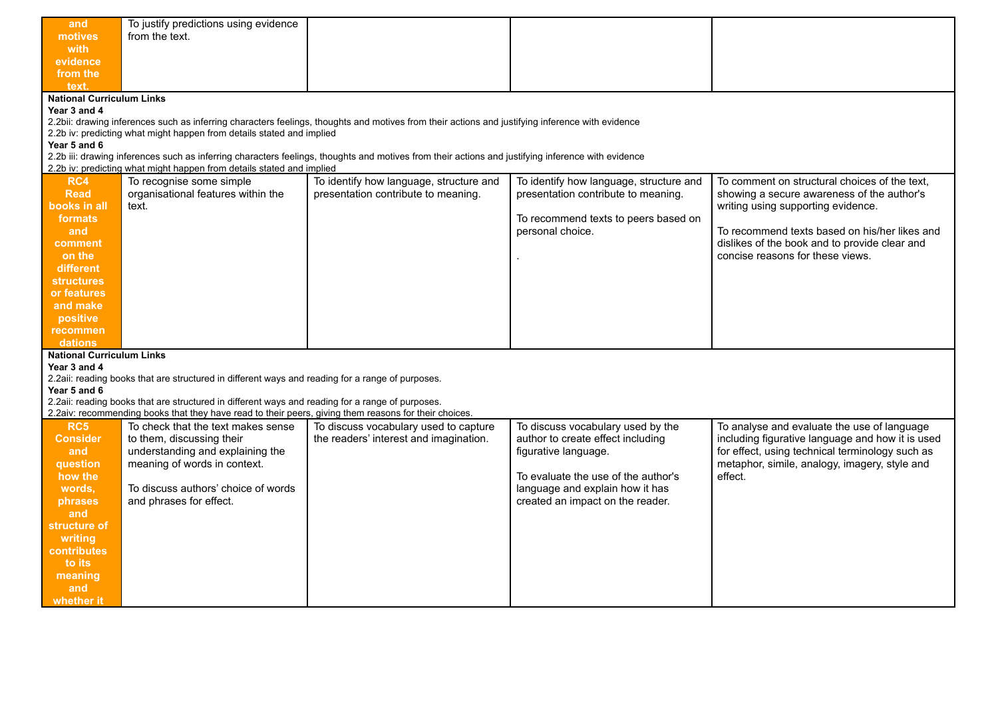| and                              | To justify predictions using evidence                                                                 |                                                                                                                                                    |                                                                        |                                                  |  |  |
|----------------------------------|-------------------------------------------------------------------------------------------------------|----------------------------------------------------------------------------------------------------------------------------------------------------|------------------------------------------------------------------------|--------------------------------------------------|--|--|
| motives                          | from the text.                                                                                        |                                                                                                                                                    |                                                                        |                                                  |  |  |
| with                             |                                                                                                       |                                                                                                                                                    |                                                                        |                                                  |  |  |
| evidence                         |                                                                                                       |                                                                                                                                                    |                                                                        |                                                  |  |  |
| from the                         |                                                                                                       |                                                                                                                                                    |                                                                        |                                                  |  |  |
| text.                            |                                                                                                       |                                                                                                                                                    |                                                                        |                                                  |  |  |
| <b>National Curriculum Links</b> |                                                                                                       |                                                                                                                                                    |                                                                        |                                                  |  |  |
| Year 3 and 4                     |                                                                                                       |                                                                                                                                                    |                                                                        |                                                  |  |  |
|                                  |                                                                                                       | 2.2bii: drawing inferences such as inferring characters feelings, thoughts and motives from their actions and justifying inference with evidence   |                                                                        |                                                  |  |  |
|                                  | 2.2b iv: predicting what might happen from details stated and implied                                 |                                                                                                                                                    |                                                                        |                                                  |  |  |
| Year 5 and 6                     |                                                                                                       |                                                                                                                                                    |                                                                        |                                                  |  |  |
|                                  |                                                                                                       | 2.2b iii: drawing inferences such as inferring characters feelings, thoughts and motives from their actions and justifying inference with evidence |                                                                        |                                                  |  |  |
|                                  | 2.2b iv: predicting what might happen from details stated and implied                                 |                                                                                                                                                    |                                                                        |                                                  |  |  |
| RC4                              | To recognise some simple                                                                              | To identify how language, structure and                                                                                                            | To identify how language, structure and                                | To comment on structural choices of the text.    |  |  |
| <b>Read</b>                      | organisational features within the                                                                    | presentation contribute to meaning.                                                                                                                | presentation contribute to meaning.                                    | showing a secure awareness of the author's       |  |  |
| books in all                     | text.                                                                                                 |                                                                                                                                                    |                                                                        | writing using supporting evidence.               |  |  |
| formats                          |                                                                                                       |                                                                                                                                                    | To recommend texts to peers based on                                   |                                                  |  |  |
| and                              |                                                                                                       |                                                                                                                                                    | personal choice.                                                       | To recommend texts based on his/her likes and    |  |  |
| comment                          |                                                                                                       |                                                                                                                                                    |                                                                        | dislikes of the book and to provide clear and    |  |  |
| on the                           |                                                                                                       |                                                                                                                                                    |                                                                        | concise reasons for these views.                 |  |  |
| different                        |                                                                                                       |                                                                                                                                                    |                                                                        |                                                  |  |  |
| structures                       |                                                                                                       |                                                                                                                                                    |                                                                        |                                                  |  |  |
|                                  |                                                                                                       |                                                                                                                                                    |                                                                        |                                                  |  |  |
| or features                      |                                                                                                       |                                                                                                                                                    |                                                                        |                                                  |  |  |
| and make                         |                                                                                                       |                                                                                                                                                    |                                                                        |                                                  |  |  |
| positive                         |                                                                                                       |                                                                                                                                                    |                                                                        |                                                  |  |  |
| recommen                         |                                                                                                       |                                                                                                                                                    |                                                                        |                                                  |  |  |
| dations                          |                                                                                                       |                                                                                                                                                    |                                                                        |                                                  |  |  |
| <b>National Curriculum Links</b> |                                                                                                       |                                                                                                                                                    |                                                                        |                                                  |  |  |
| Year 3 and 4                     |                                                                                                       |                                                                                                                                                    |                                                                        |                                                  |  |  |
|                                  | 2.2aii: reading books that are structured in different ways and reading for a range of purposes.      |                                                                                                                                                    |                                                                        |                                                  |  |  |
| Year 5 and 6                     | 2.2aii: reading books that are structured in different ways and reading for a range of purposes.      |                                                                                                                                                    |                                                                        |                                                  |  |  |
|                                  | 2.2aiv: recommending books that they have read to their peers, giving them reasons for their choices. |                                                                                                                                                    |                                                                        |                                                  |  |  |
| RC5                              | To check that the text makes sense                                                                    | To discuss vocabulary used to capture                                                                                                              |                                                                        | To analyse and evaluate the use of language      |  |  |
| <b>Consider</b>                  | to them, discussing their                                                                             | the readers' interest and imagination.                                                                                                             | To discuss vocabulary used by the<br>author to create effect including | including figurative language and how it is used |  |  |
|                                  |                                                                                                       |                                                                                                                                                    |                                                                        | for effect, using technical terminology such as  |  |  |
| and                              | understanding and explaining the                                                                      |                                                                                                                                                    | figurative language.                                                   |                                                  |  |  |
| question                         | meaning of words in context.                                                                          |                                                                                                                                                    |                                                                        | metaphor, simile, analogy, imagery, style and    |  |  |
| how the                          |                                                                                                       |                                                                                                                                                    | To evaluate the use of the author's                                    | effect.                                          |  |  |
| words,                           | To discuss authors' choice of words                                                                   |                                                                                                                                                    | language and explain how it has                                        |                                                  |  |  |
| phrases                          | and phrases for effect.                                                                               |                                                                                                                                                    | created an impact on the reader.                                       |                                                  |  |  |
| and                              |                                                                                                       |                                                                                                                                                    |                                                                        |                                                  |  |  |
| structure of                     |                                                                                                       |                                                                                                                                                    |                                                                        |                                                  |  |  |
| writing                          |                                                                                                       |                                                                                                                                                    |                                                                        |                                                  |  |  |
| contributes                      |                                                                                                       |                                                                                                                                                    |                                                                        |                                                  |  |  |
| to its                           |                                                                                                       |                                                                                                                                                    |                                                                        |                                                  |  |  |
| meaning                          |                                                                                                       |                                                                                                                                                    |                                                                        |                                                  |  |  |
| and                              |                                                                                                       |                                                                                                                                                    |                                                                        |                                                  |  |  |
| whether it                       |                                                                                                       |                                                                                                                                                    |                                                                        |                                                  |  |  |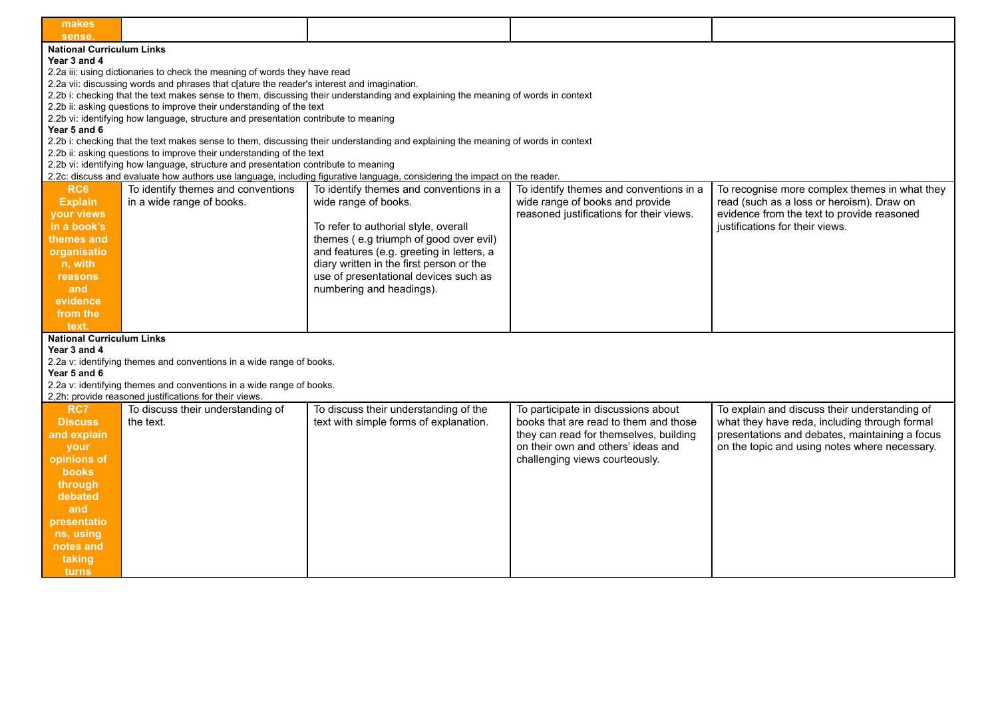| makes<br>sense.                  |                                                                                            |                                                                                                                                   |                                          |                                                |
|----------------------------------|--------------------------------------------------------------------------------------------|-----------------------------------------------------------------------------------------------------------------------------------|------------------------------------------|------------------------------------------------|
| <b>National Curriculum Links</b> |                                                                                            |                                                                                                                                   |                                          |                                                |
| Year 3 and 4                     |                                                                                            |                                                                                                                                   |                                          |                                                |
|                                  | 2.2a iii: using dictionaries to check the meaning of words they have read                  |                                                                                                                                   |                                          |                                                |
|                                  | 2.2a vii: discussing words and phrases that c[ature the reader's interest and imagination. |                                                                                                                                   |                                          |                                                |
|                                  |                                                                                            | 2.2b i: checking that the text makes sense to them, discussing their understanding and explaining the meaning of words in context |                                          |                                                |
|                                  | 2.2b ii: asking questions to improve their understanding of the text                       |                                                                                                                                   |                                          |                                                |
|                                  | 2.2b vi: identifying how language, structure and presentation contribute to meaning        |                                                                                                                                   |                                          |                                                |
|                                  |                                                                                            |                                                                                                                                   |                                          |                                                |
| Year 5 and 6                     |                                                                                            |                                                                                                                                   |                                          |                                                |
|                                  |                                                                                            | 2.2b i: checking that the text makes sense to them, discussing their understanding and explaining the meaning of words in context |                                          |                                                |
|                                  | 2.2b ii: asking questions to improve their understanding of the text                       |                                                                                                                                   |                                          |                                                |
|                                  | 2.2b vi: identifying how language, structure and presentation contribute to meaning        |                                                                                                                                   |                                          |                                                |
|                                  |                                                                                            | 2.2c: discuss and evaluate how authors use language, including figurative language, considering the impact on the reader.         |                                          |                                                |
| RC6                              | To identify themes and conventions                                                         | To identify themes and conventions in a                                                                                           | To identify themes and conventions in a  | To recognise more complex themes in what they  |
| <b>Explain</b>                   | in a wide range of books.                                                                  | wide range of books.                                                                                                              | wide range of books and provide          | read (such as a loss or heroism). Draw on      |
| your views                       |                                                                                            |                                                                                                                                   | reasoned justifications for their views. | evidence from the text to provide reasoned     |
| in a book's                      |                                                                                            | To refer to authorial style, overall                                                                                              |                                          | justifications for their views.                |
| themes and                       |                                                                                            | themes (e.g triumph of good over evil)                                                                                            |                                          |                                                |
| organisatio                      |                                                                                            | and features (e.g. greeting in letters, a                                                                                         |                                          |                                                |
| n, with                          |                                                                                            | diary written in the first person or the                                                                                          |                                          |                                                |
|                                  |                                                                                            |                                                                                                                                   |                                          |                                                |
| reasons                          |                                                                                            | use of presentational devices such as                                                                                             |                                          |                                                |
| and                              |                                                                                            | numbering and headings).                                                                                                          |                                          |                                                |
| evidence                         |                                                                                            |                                                                                                                                   |                                          |                                                |
| from the                         |                                                                                            |                                                                                                                                   |                                          |                                                |
| text.                            |                                                                                            |                                                                                                                                   |                                          |                                                |
| <b>National Curriculum Links</b> |                                                                                            |                                                                                                                                   |                                          |                                                |
| Year 3 and 4                     |                                                                                            |                                                                                                                                   |                                          |                                                |
|                                  | 2.2a v: identifying themes and conventions in a wide range of books.                       |                                                                                                                                   |                                          |                                                |
| Year 5 and 6                     |                                                                                            |                                                                                                                                   |                                          |                                                |
|                                  | 2.2a v: identifying themes and conventions in a wide range of books.                       |                                                                                                                                   |                                          |                                                |
|                                  | 2,2h: provide reasoned justifications for their views.                                     |                                                                                                                                   |                                          |                                                |
| RC7                              | To discuss their understanding of                                                          | To discuss their understanding of the                                                                                             | To participate in discussions about      | To explain and discuss their understanding of  |
| <b>Discuss</b>                   | the text.                                                                                  | text with simple forms of explanation.                                                                                            | books that are read to them and those    | what they have reda, including through formal  |
|                                  |                                                                                            |                                                                                                                                   | they can read for themselves, building   | presentations and debates, maintaining a focus |
| and explain                      |                                                                                            |                                                                                                                                   |                                          |                                                |
| your                             |                                                                                            |                                                                                                                                   | on their own and others' ideas and       | on the topic and using notes where necessary.  |
| opinions of                      |                                                                                            |                                                                                                                                   | challenging views courteously.           |                                                |
| books                            |                                                                                            |                                                                                                                                   |                                          |                                                |
| through                          |                                                                                            |                                                                                                                                   |                                          |                                                |
| debated                          |                                                                                            |                                                                                                                                   |                                          |                                                |
| and                              |                                                                                            |                                                                                                                                   |                                          |                                                |
| presentatio                      |                                                                                            |                                                                                                                                   |                                          |                                                |
| ns, using                        |                                                                                            |                                                                                                                                   |                                          |                                                |
| notes and                        |                                                                                            |                                                                                                                                   |                                          |                                                |
|                                  |                                                                                            |                                                                                                                                   |                                          |                                                |
| taking                           |                                                                                            |                                                                                                                                   |                                          |                                                |
| turns                            |                                                                                            |                                                                                                                                   |                                          |                                                |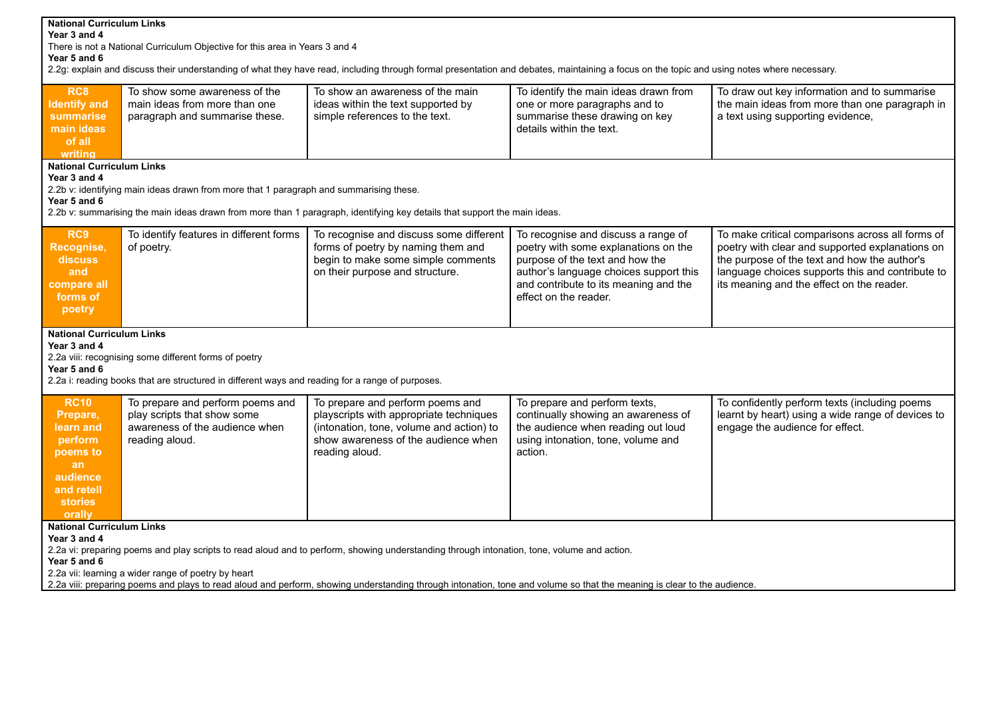| <b>National Curriculum Links</b><br>Year 3 and 4<br>There is not a National Curriculum Objective for this area in Years 3 and 4<br>Year 5 and 6<br>2.2g: explain and discuss their understanding of what they have read, including through formal presentation and debates, maintaining a focus on the topic and using notes where necessary.                                                                                                                                                                                                                                                                                                                                                                                              |                                                                                                                                                                                               |                                                                                                                                                        |                                                                                                                                                                                                                            |                                                                                                                                                                                                                                                      |  |  |
|--------------------------------------------------------------------------------------------------------------------------------------------------------------------------------------------------------------------------------------------------------------------------------------------------------------------------------------------------------------------------------------------------------------------------------------------------------------------------------------------------------------------------------------------------------------------------------------------------------------------------------------------------------------------------------------------------------------------------------------------|-----------------------------------------------------------------------------------------------------------------------------------------------------------------------------------------------|--------------------------------------------------------------------------------------------------------------------------------------------------------|----------------------------------------------------------------------------------------------------------------------------------------------------------------------------------------------------------------------------|------------------------------------------------------------------------------------------------------------------------------------------------------------------------------------------------------------------------------------------------------|--|--|
| RC <sub>8</sub><br><b>Identify and</b><br>summarise<br>main ideas<br>of all<br>writina                                                                                                                                                                                                                                                                                                                                                                                                                                                                                                                                                                                                                                                     | To show some awareness of the<br>main ideas from more than one<br>paragraph and summarise these.                                                                                              | To show an awareness of the main<br>ideas within the text supported by<br>simple references to the text.                                               | To identify the main ideas drawn from<br>one or more paragraphs and to<br>summarise these drawing on key<br>details within the text.                                                                                       | To draw out key information and to summarise<br>the main ideas from more than one paragraph in<br>a text using supporting evidence,                                                                                                                  |  |  |
| <b>National Curriculum Links</b><br>Year 3 and 4<br>Year 5 and 6                                                                                                                                                                                                                                                                                                                                                                                                                                                                                                                                                                                                                                                                           | 2.2b v: identifying main ideas drawn from more that 1 paragraph and summarising these.                                                                                                        | 2.2b v: summarising the main ideas drawn from more than 1 paragraph, identifying key details that support the main ideas.                              |                                                                                                                                                                                                                            |                                                                                                                                                                                                                                                      |  |  |
| RC <sub>9</sub><br>Recognise,<br>discuss<br>and<br>compare all<br>forms of<br>poetry                                                                                                                                                                                                                                                                                                                                                                                                                                                                                                                                                                                                                                                       | To identify features in different forms<br>of poetry.                                                                                                                                         | To recognise and discuss some different<br>forms of poetry by naming them and<br>begin to make some simple comments<br>on their purpose and structure. | To recognise and discuss a range of<br>poetry with some explanations on the<br>purpose of the text and how the<br>author's language choices support this<br>and contribute to its meaning and the<br>effect on the reader. | To make critical comparisons across all forms of<br>poetry with clear and supported explanations on<br>the purpose of the text and how the author's<br>language choices supports this and contribute to<br>its meaning and the effect on the reader. |  |  |
| Year 3 and 4<br>Year 5 and 6                                                                                                                                                                                                                                                                                                                                                                                                                                                                                                                                                                                                                                                                                                               | <b>National Curriculum Links</b><br>2.2a viii: recognising some different forms of poetry<br>2.2a i: reading books that are structured in different ways and reading for a range of purposes. |                                                                                                                                                        |                                                                                                                                                                                                                            |                                                                                                                                                                                                                                                      |  |  |
| <b>RC10</b><br>To prepare and perform poems and<br>To prepare and perform poems and<br>To prepare and perform texts,<br>To confidently perform texts (including poems<br>play scripts that show some<br>playscripts with appropriate techniques<br>continually showing an awareness of<br>learnt by heart) using a wide range of devices to<br>Prepare,<br>awareness of the audience when<br>(intonation, tone, volume and action) to<br>the audience when reading out loud<br>engage the audience for effect.<br>learn and<br>show awareness of the audience when<br>using intonation, tone, volume and<br>reading aloud.<br>perform<br>reading aloud.<br>action.<br>poems to<br>an<br>audience<br>and retell<br><b>stories</b><br>orally |                                                                                                                                                                                               |                                                                                                                                                        |                                                                                                                                                                                                                            |                                                                                                                                                                                                                                                      |  |  |
| <b>National Curriculum Links</b><br>Year 3 and 4<br>2.2a vi: preparing poems and play scripts to read aloud and to perform, showing understanding through intonation, tone, volume and action.<br>Year 5 and 6<br>2.2a vii: learning a wider range of poetry by heart<br>2.2a viii: preparing poems and plays to read aloud and perform, showing understanding through intonation, tone and volume so that the meaning is clear to the audience.                                                                                                                                                                                                                                                                                           |                                                                                                                                                                                               |                                                                                                                                                        |                                                                                                                                                                                                                            |                                                                                                                                                                                                                                                      |  |  |